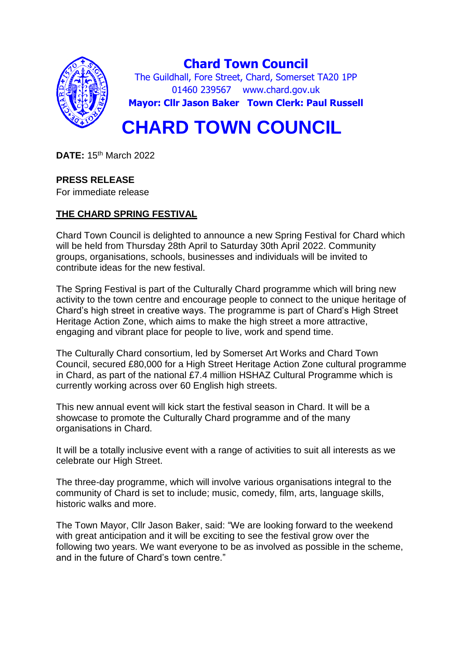

**DATE:** 15th March 2022

# **PRESS RELEASE**

For immediate release

# **THE CHARD SPRING FESTIVAL**

Chard Town Council is delighted to announce a new Spring Festival for Chard which will be held from Thursday 28th April to Saturday 30th April 2022. Community groups, organisations, schools, businesses and individuals will be invited to contribute ideas for the new festival.

The Spring Festival is part of the Culturally Chard programme which will bring new activity to the town centre and encourage people to connect to the unique heritage of Chard's high street in creative ways. The programme is part of Chard's High Street Heritage Action Zone, which aims to make the high street a more attractive, engaging and vibrant place for people to live, work and spend time.

The Culturally Chard consortium, led by Somerset Art Works and Chard Town Council, secured £80,000 for a High Street Heritage Action Zone cultural programme in Chard, as part of the national £7.4 million HSHAZ Cultural Programme which is currently working across over 60 English high streets.

This new annual event will kick start the festival season in Chard. It will be a showcase to promote the Culturally Chard programme and of the many organisations in Chard.

It will be a totally inclusive event with a range of activities to suit all interests as we celebrate our High Street.

The three-day programme, which will involve various organisations integral to the community of Chard is set to include; music, comedy, film, arts, language skills, historic walks and more.

The Town Mayor, Cllr Jason Baker, said: "We are looking forward to the weekend with great anticipation and it will be exciting to see the festival grow over the following two years. We want everyone to be as involved as possible in the scheme, and in the future of Chard's town centre."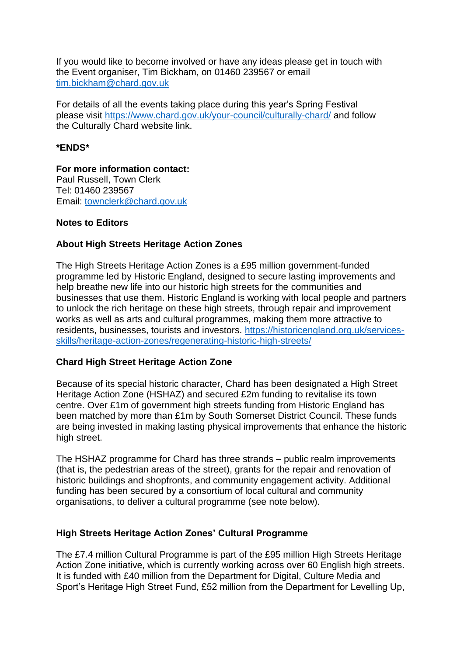If you would like to become involved or have any ideas please get in touch with the Event organiser, Tim Bickham, on 01460 239567 or email [tim.bickham@chard.gov.uk](mailto:tim.bickham@chard.gov.uk)

For details of all the events taking place during this year's Spring Festival please visit<https://www.chard.gov.uk/your-council/culturally-chard/> and follow the Culturally Chard website link.

### **\*ENDS\***

**For more information contact:** Paul Russell, Town Clerk Tel: 01460 239567 Email: [townclerk@chard.gov.uk](mailto:townclerk@chard.gov.uk)

### **Notes to Editors**

## **About High Streets Heritage Action Zones**

The High Streets Heritage Action Zones is a £95 million government-funded programme led by Historic England, designed to secure lasting improvements and help breathe new life into our historic high streets for the communities and businesses that use them. Historic England is working with local people and partners to unlock the rich heritage on these high streets, through repair and improvement works as well as arts and cultural programmes, making them more attractive to residents, businesses, tourists and investors. [https://historicengland.org.uk/services](https://historicengland.org.uk/services-skills/heritage-action-zones/regenerating-historic-high-streets/)[skills/heritage-action-zones/regenerating-historic-high-streets/](https://historicengland.org.uk/services-skills/heritage-action-zones/regenerating-historic-high-streets/)

#### **Chard High Street Heritage Action Zone**

Because of its special historic character, Chard has been designated a High Street Heritage Action Zone (HSHAZ) and secured £2m funding to revitalise its town centre. Over £1m of government high streets funding from Historic England has been matched by more than £1m by South Somerset District Council. These funds are being invested in making lasting physical improvements that enhance the historic high street.

The HSHAZ programme for Chard has three strands – public realm improvements (that is, the pedestrian areas of the street), grants for the repair and renovation of historic buildings and shopfronts, and community engagement activity. Additional funding has been secured by a consortium of local cultural and community organisations, to deliver a cultural programme (see note below).

#### **High Streets Heritage Action Zones' Cultural Programme**

The £7.4 million Cultural Programme is part of the £95 million High Streets Heritage Action Zone initiative, which is currently working across over 60 English high streets. It is funded with £40 million from the Department for Digital, Culture Media and Sport's Heritage High Street Fund, £52 million from the Department for Levelling Up,